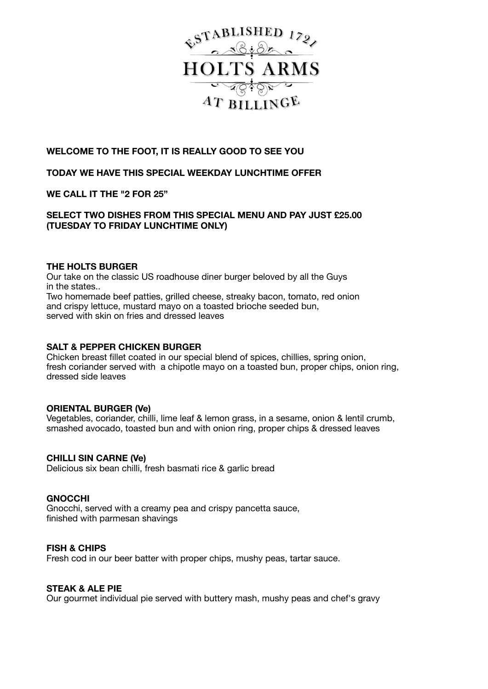

# **WELCOME TO THE FOOT, IT IS REALLY GOOD TO SEE YOU**

## **TODAY WE HAVE THIS SPECIAL WEEKDAY LUNCHTIME OFFER**

## **WE CALL IT THE "2 FOR 25"**

## **SELECT TWO DISHES FROM THIS SPECIAL MENU AND PAY JUST £25.00 (TUESDAY TO FRIDAY LUNCHTIME ONLY)**

#### **THE HOLTS BURGER**

Our take on the classic US roadhouse diner burger beloved by all the Guys in the states.. Two homemade beef patties, grilled cheese, streaky bacon, tomato, red onion and crispy lettuce, mustard mayo on a toasted brioche seeded bun, served with skin on fries and dressed leaves

#### **SALT & PEPPER CHICKEN BURGER**

Chicken breast fillet coated in our special blend of spices, chillies, spring onion, fresh coriander served with a chipotle mayo on a toasted bun, proper chips, onion ring, dressed side leaves

#### **ORIENTAL BURGER (Ve)**

Vegetables, coriander, chilli, lime leaf & lemon grass, in a sesame, onion & lentil crumb, smashed avocado, toasted bun and with onion ring, proper chips & dressed leaves

#### **CHILLI SIN CARNE (Ve)**

Delicious six bean chilli, fresh basmati rice & garlic bread

#### **GNOCCHI**

Gnocchi, served with a creamy pea and crispy pancetta sauce, finished with parmesan shavings

#### **FISH & CHIPS**

Fresh cod in our beer batter with proper chips, mushy peas, tartar sauce.

#### **STEAK & ALE PIE**

Our gourmet individual pie served with buttery mash, mushy peas and chef's gravy